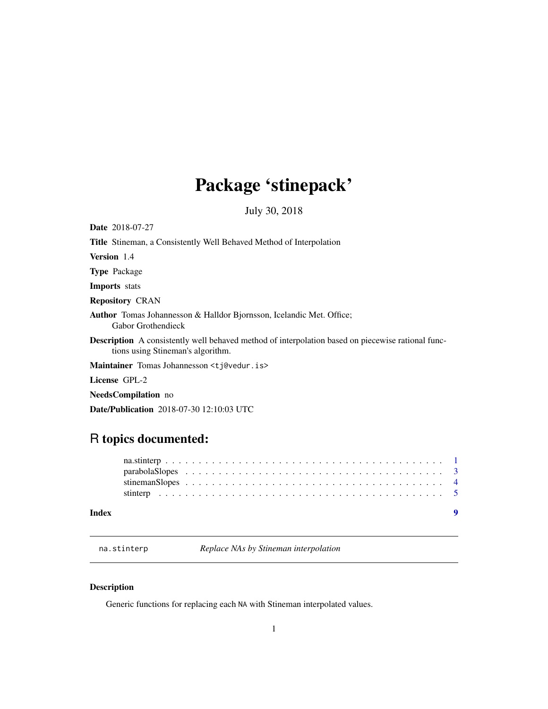## <span id="page-0-0"></span>Package 'stinepack'

July 30, 2018

| <b>Date</b> 2018-07-27                                                                                                                        |
|-----------------------------------------------------------------------------------------------------------------------------------------------|
| <b>Title</b> Stineman, a Consistently Well Behaved Method of Interpolation                                                                    |
| <b>Version</b> 1.4                                                                                                                            |
| <b>Type</b> Package                                                                                                                           |
| <b>Imports</b> stats                                                                                                                          |
| <b>Repository CRAN</b>                                                                                                                        |
| <b>Author</b> Tomas Johannesson & Halldor Bjornsson, Icelandic Met. Office;<br><b>Gabor Grothendieck</b>                                      |
| <b>Description</b> A consistently well behaved method of interpolation based on piecewise rational func-<br>tions using Stineman's algorithm. |
| Maintainer Tomas Johannesson <t j@vedur.is=""></t>                                                                                            |
| License GPL-2                                                                                                                                 |
|                                                                                                                                               |

NeedsCompilation no

Date/Publication 2018-07-30 12:10:03 UTC

### R topics documented:

| Index |  |  |  |  |  |  |  |  |  |  |  |  |  |  |  |  |  |  |
|-------|--|--|--|--|--|--|--|--|--|--|--|--|--|--|--|--|--|--|
|       |  |  |  |  |  |  |  |  |  |  |  |  |  |  |  |  |  |  |
|       |  |  |  |  |  |  |  |  |  |  |  |  |  |  |  |  |  |  |
|       |  |  |  |  |  |  |  |  |  |  |  |  |  |  |  |  |  |  |
|       |  |  |  |  |  |  |  |  |  |  |  |  |  |  |  |  |  |  |

<span id="page-0-1"></span>na.stinterp *Replace NAs by Stineman interpolation*

### Description

Generic functions for replacing each NA with Stineman interpolated values.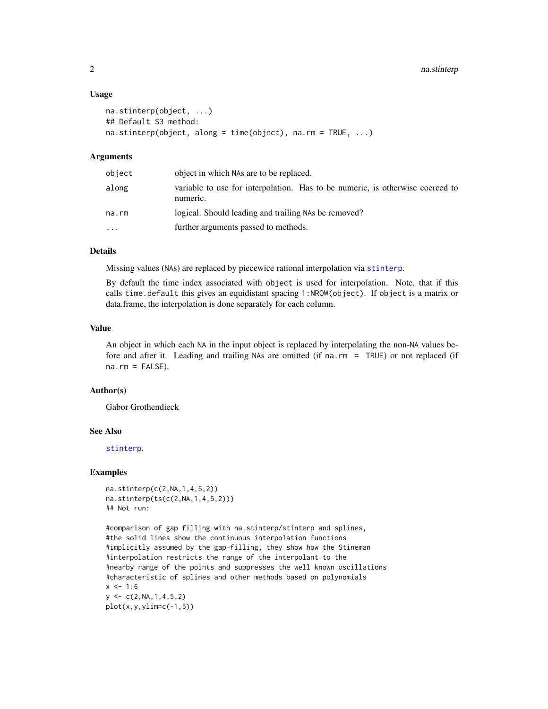#### Usage

```
na.stinterp(object, ...)
## Default S3 method:
na.stinterp(object, along = time(object), na.rm = TRUE, ...)
```
#### Arguments

| object   | object in which NAs are to be replaced.                                                   |
|----------|-------------------------------------------------------------------------------------------|
| along    | variable to use for interpolation. Has to be numeric, is otherwise coerced to<br>numeric. |
| na.rm    | logical. Should leading and trailing NAs be removed?                                      |
| $\cdots$ | further arguments passed to methods.                                                      |

#### Details

Missing values (NAs) are replaced by piecewice rational interpolation via [stinterp](#page-4-1).

By default the time index associated with object is used for interpolation. Note, that if this calls time.default this gives an equidistant spacing 1:NROW(object). If object is a matrix or data.frame, the interpolation is done separately for each column.

#### Value

An object in which each NA in the input object is replaced by interpolating the non-NA values before and after it. Leading and trailing NAs are omitted (if na.rm = TRUE) or not replaced (if  $na.rm = FALSE$ ).

#### Author(s)

Gabor Grothendieck

#### See Also

[stinterp](#page-4-1).

#### Examples

```
na.stinterp(c(2,NA,1,4,5,2))
na.stinterp(ts(c(2,NA,1,4,5,2)))
## Not run:
```

```
#comparison of gap filling with na.stinterp/stinterp and splines,
#the solid lines show the continuous interpolation functions
#implicitly assumed by the gap-filling, they show how the Stineman
#interpolation restricts the range of the interpolant to the
#nearby range of the points and suppresses the well known oscillations
#characteristic of splines and other methods based on polynomials
x < -1:6y \leq -c(2, NA, 1, 4, 5, 2)plot(x,y,ylin=c(-1,5))
```
<span id="page-1-0"></span>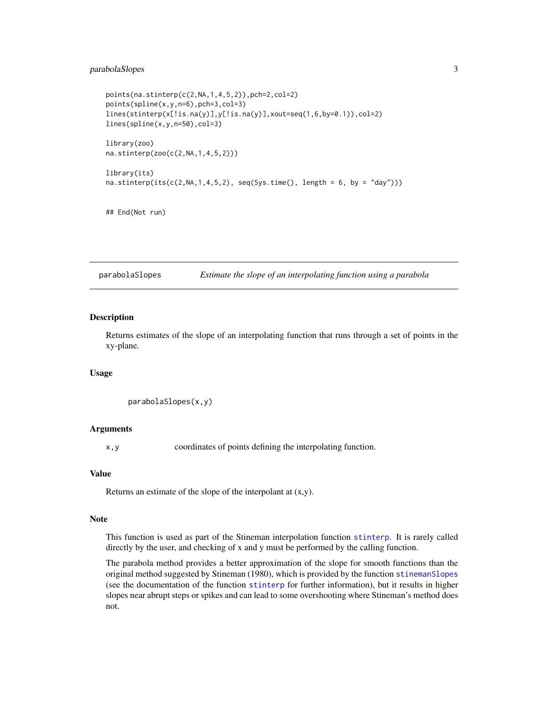#### <span id="page-2-0"></span>parabolaSlopes 3

```
points(na.stinterp(c(2,NA,1,4,5,2)),pch=2,col=2)
points(spline(x,y,n=6),pch=3,col=3)
lines(stinterp(x[!is.na(y)],y[!is.na(y)],xout=seq(1,6,by=0.1)),col=2)
lines(spline(x,y,n=50),col=3)
library(zoo)
na.stinterp(zoo(c(2,NA,1,4,5,2)))
library(its)
na.stinterp(its(c(2,NA,1,4,5,2), seq(Sys.time(), length = 6, by = "day"))
```

```
## End(Not run)
```
<span id="page-2-1"></span>parabolaSlopes *Estimate the slope of an interpolating function using a parabola*

#### Description

Returns estimates of the slope of an interpolating function that runs through a set of points in the xy-plane.

#### Usage

```
parabolaSlopes(x,y)
```
#### Arguments

x,y coordinates of points defining the interpolating function.

#### Value

Returns an estimate of the slope of the interpolant at  $(x,y)$ .

#### Note

This function is used as part of the Stineman interpolation function [stinterp](#page-4-1). It is rarely called directly by the user, and checking of x and y must be performed by the calling function.

The parabola method provides a better approximation of the slope for smooth functions than the original method suggested by Stineman (1980), which is provided by the function [stinemanSlopes](#page-3-1) (see the documentation of the function [stinterp](#page-4-1) for further information), but it results in higher slopes near abrupt steps or spikes and can lead to some overshooting where Stineman's method does not.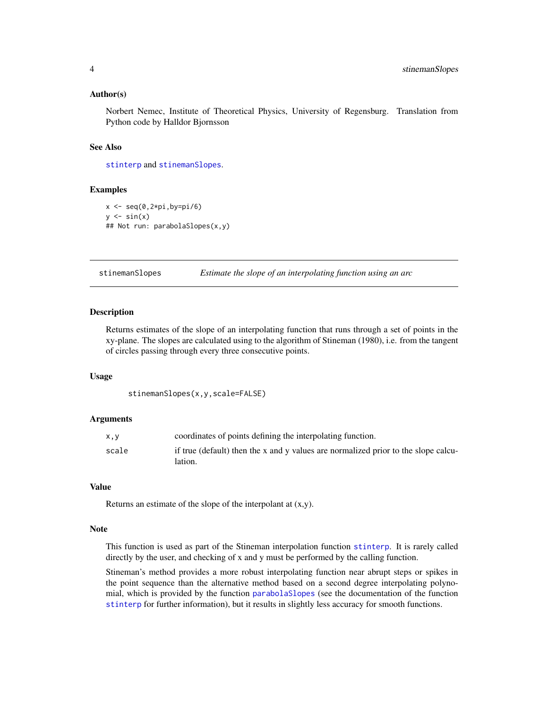#### <span id="page-3-0"></span>Author(s)

Norbert Nemec, Institute of Theoretical Physics, University of Regensburg. Translation from Python code by Halldor Bjornsson

#### See Also

[stinterp](#page-4-1) and [stinemanSlopes](#page-3-1).

#### Examples

```
x \leftarrow \text{seq}(0, 2 \text{ *pi}, \text{by=pi}/6)y \leftarrow \sin(x)## Not run: parabolaSlopes(x,y)
```
<span id="page-3-1"></span>stinemanSlopes *Estimate the slope of an interpolating function using an arc*

#### Description

Returns estimates of the slope of an interpolating function that runs through a set of points in the xy-plane. The slopes are calculated using to the algorithm of Stineman (1980), i.e. from the tangent of circles passing through every three consecutive points.

#### Usage

stinemanSlopes(x,y,scale=FALSE)

#### Arguments

| x.v   | coordinates of points defining the interpolating function.                                    |
|-------|-----------------------------------------------------------------------------------------------|
| scale | if true (default) then the x and y values are normalized prior to the slope calcu-<br>lation. |

#### Value

Returns an estimate of the slope of the interpolant at (x,y).

#### Note

This function is used as part of the Stineman interpolation function [stinterp](#page-4-1). It is rarely called directly by the user, and checking of x and y must be performed by the calling function.

Stineman's method provides a more robust interpolating function near abrupt steps or spikes in the point sequence than the alternative method based on a second degree interpolating polynomial, which is provided by the function [parabolaSlopes](#page-2-1) (see the documentation of the function [stinterp](#page-4-1) for further information), but it results in slightly less accuracy for smooth functions.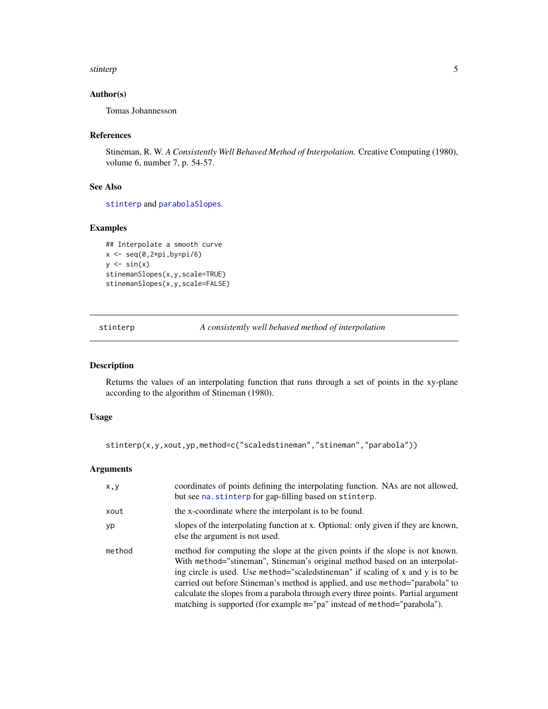#### <span id="page-4-0"></span>stinterp 5

#### Author(s)

Tomas Johannesson

#### References

Stineman, R. W. *A Consistently Well Behaved Method of Interpolation.* Creative Computing (1980), volume 6, number 7, p. 54-57.

#### See Also

[stinterp](#page-4-1) and [parabolaSlopes](#page-2-1).

#### Examples

```
## Interpolate a smooth curve
x \leftarrow \text{seq}(0, 2 \text{ * pi}, \text{by=pi}/6)y \leftarrow \sin(x)stinemanSlopes(x,y,scale=TRUE)
stinemanSlopes(x,y,scale=FALSE)
```
<span id="page-4-1"></span>stinterp *A consistently well behaved method of interpolation*

#### Description

Returns the values of an interpolating function that runs through a set of points in the xy-plane according to the algorithm of Stineman (1980).

#### Usage

stinterp(x,y,xout,yp,method=c("scaledstineman","stineman","parabola"))

#### Arguments

| x, y   | coordinates of points defining the interpolating function. NAs are not allowed,<br>but see na. stinterp for gap-filling based on stinterp.                                                                                                                                                                                                                                                                                                                                                         |
|--------|----------------------------------------------------------------------------------------------------------------------------------------------------------------------------------------------------------------------------------------------------------------------------------------------------------------------------------------------------------------------------------------------------------------------------------------------------------------------------------------------------|
| xout   | the x-coordinate where the interpolant is to be found.                                                                                                                                                                                                                                                                                                                                                                                                                                             |
| yp     | slopes of the interpolating function at x. Optional: only given if they are known,<br>else the argument is not used.                                                                                                                                                                                                                                                                                                                                                                               |
| method | method for computing the slope at the given points if the slope is not known.<br>With method="stineman", Stineman's original method based on an interpolat-<br>ing circle is used. Use method="scaled stineman" if scaling of x and y is to be<br>carried out before Stineman's method is applied, and use method="parabola" to<br>calculate the slopes from a parabola through every three points. Partial argument<br>matching is supported (for example $m="pa"$ instead of method="parabola"). |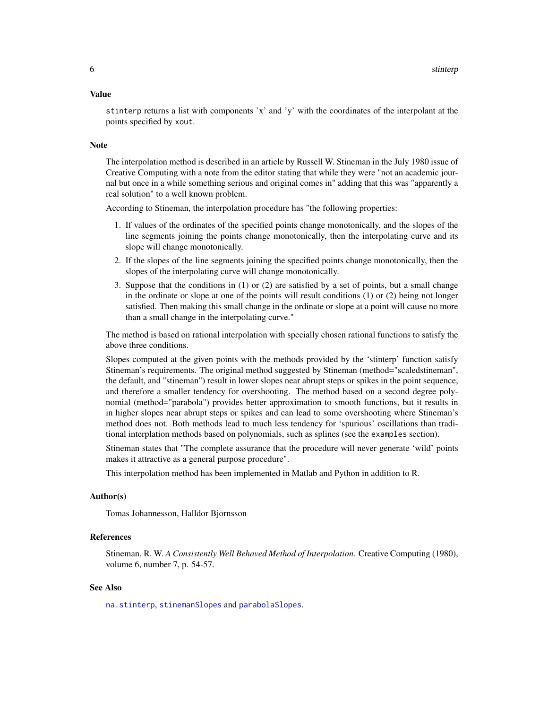#### <span id="page-5-0"></span>Value

stinterp returns a list with components 'x' and 'y' with the coordinates of the interpolant at the points specified by xout.

#### **Note**

The interpolation method is described in an article by Russell W. Stineman in the July 1980 issue of Creative Computing with a note from the editor stating that while they were "not an academic journal but once in a while something serious and original comes in" adding that this was "apparently a real solution" to a well known problem.

According to Stineman, the interpolation procedure has "the following properties:

- 1. If values of the ordinates of the specified points change monotonically, and the slopes of the line segments joining the points change monotonically, then the interpolating curve and its slope will change monotonically.
- 2. If the slopes of the line segments joining the specified points change monotonically, then the slopes of the interpolating curve will change monotonically.
- 3. Suppose that the conditions in (1) or (2) are satisfied by a set of points, but a small change in the ordinate or slope at one of the points will result conditions (1) or (2) being not longer satisfied. Then making this small change in the ordinate or slope at a point will cause no more than a small change in the interpolating curve."

The method is based on rational interpolation with specially chosen rational functions to satisfy the above three conditions.

Slopes computed at the given points with the methods provided by the 'stinterp' function satisfy Stineman's requirements. The original method suggested by Stineman (method="scaledstineman", the default, and "stineman") result in lower slopes near abrupt steps or spikes in the point sequence, and therefore a smaller tendency for overshooting. The method based on a second degree polynomial (method="parabola") provides better approximation to smooth functions, but it results in in higher slopes near abrupt steps or spikes and can lead to some overshooting where Stineman's method does not. Both methods lead to much less tendency for 'spurious' oscillations than traditional interplation methods based on polynomials, such as splines (see the examples section).

Stineman states that "The complete assurance that the procedure will never generate 'wild' points makes it attractive as a general purpose procedure".

This interpolation method has been implemented in Matlab and Python in addition to R.

#### Author(s)

Tomas Johannesson, Halldor Bjornsson

#### References

Stineman, R. W. *A Consistently Well Behaved Method of Interpolation.* Creative Computing (1980), volume 6, number 7, p. 54-57.

#### See Also

[na.stinterp](#page-0-1), [stinemanSlopes](#page-3-1) and [parabolaSlopes](#page-2-1).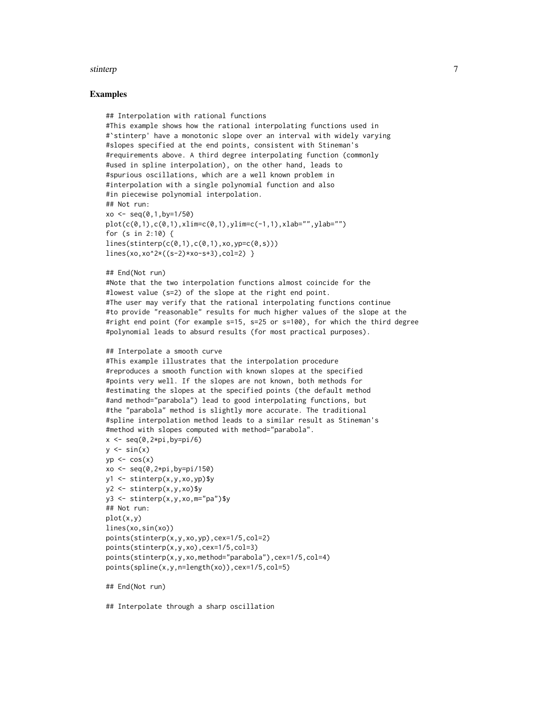#### stinterp 2008 and 2008 and 2008 and 2008 and 2008 and 2008 and 2008 and 2008 and 2008 and 2008 and 2008 and 20

#### Examples

```
## Interpolation with rational functions
#This example shows how the rational interpolating functions used in
#`stinterp' have a monotonic slope over an interval with widely varying
#slopes specified at the end points, consistent with Stineman's
#requirements above. A third degree interpolating function (commonly
#used in spline interpolation), on the other hand, leads to
#spurious oscillations, which are a well known problem in
#interpolation with a single polynomial function and also
#in piecewise polynomial interpolation.
## Not run:
xo \leq seq(0, 1, by=1/50)plot(c(0,1),c(0,1),xlim=c(0,1),ylim=c(-1,1),xlab="",ylab="")
for (s in 2:10) {
lines(stinterp(c(0,1),c(0,1),xo,vp=c(0,s)))lines(xo,xo^2*((s-2)*xo-s+3),col=2) }
## End(Not run)
#Note that the two interpolation functions almost coincide for the
#lowest value (s=2) of the slope at the right end point.
#The user may verify that the rational interpolating functions continue
#to provide "reasonable" results for much higher values of the slope at the
#right end point (for example s=15, s=25 or s=100), for which the third degree
#polynomial leads to absurd results (for most practical purposes).
## Interpolate a smooth curve
#This example illustrates that the interpolation procedure
#reproduces a smooth function with known slopes at the specified
#points very well. If the slopes are not known, both methods for
#estimating the slopes at the specified points (the default method
#and method="parabola") lead to good interpolating functions, but
#the "parabola" method is slightly more accurate. The traditional
#spline interpolation method leads to a similar result as Stineman's
#method with slopes computed with method="parabola".
x \leftarrow \text{seq}(0, 2 \times \text{pi}, \text{by}=p1/6)y \le -\sin(x)yp \leftarrow \cos(x)xo < -seq(0, 2*pi, by=pi/150)y1 <- stinterp(x,y,xo,yp)$y
y2 <- stinterp(x,y,xo)$y
y3 <- stinterp(x,y,xo,m="pa")$y
## Not run:
plot(x,y)
lines(xo,sin(xo))
points(stinterp(x,y,xo,yp),cex=1/5,col=2)
points(stinterp(x,y,xo),cex=1/5,col=3)
points(stinterp(x,y,xo,method="parabola"),cex=1/5,col=4)
points(spline(x,y,n=length(xo)),cex=1/5,col=5)
## End(Not run)
```
## Interpolate through a sharp oscillation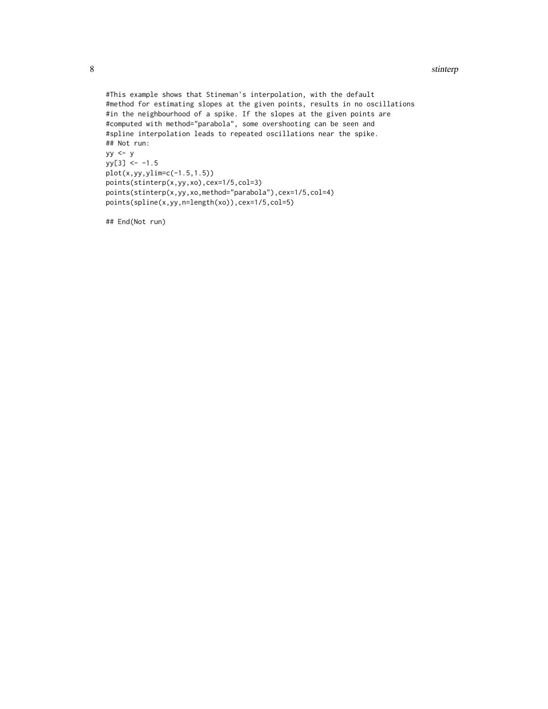```
#This example shows that Stineman's interpolation, with the default
#method for estimating slopes at the given points, results in no oscillations
#in the neighbourhood of a spike. If the slopes at the given points are
#computed with method="parabola", some overshooting can be seen and
#spline interpolation leads to repeated oscillations near the spike.
## Not run:
yy <- y
yy[3] < -1.5plot(x,yy,ylim=c(-1.5,1.5))
points(stinterp(x,yy,xo),cex=1/5,col=3)
points(stinterp(x,yy,xo,method="parabola"),cex=1/5,col=4)
points(spline(x,yy,n=length(xo)),cex=1/5,col=5)
```
## End(Not run)